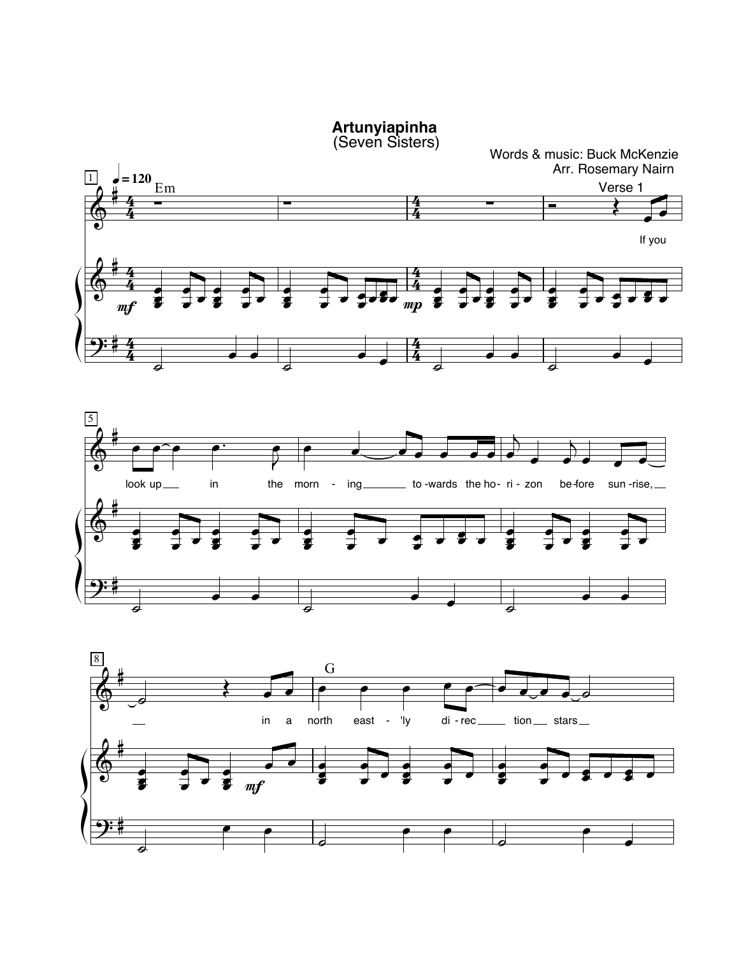**Artunyiapinha**<br>(Seven Sisters)



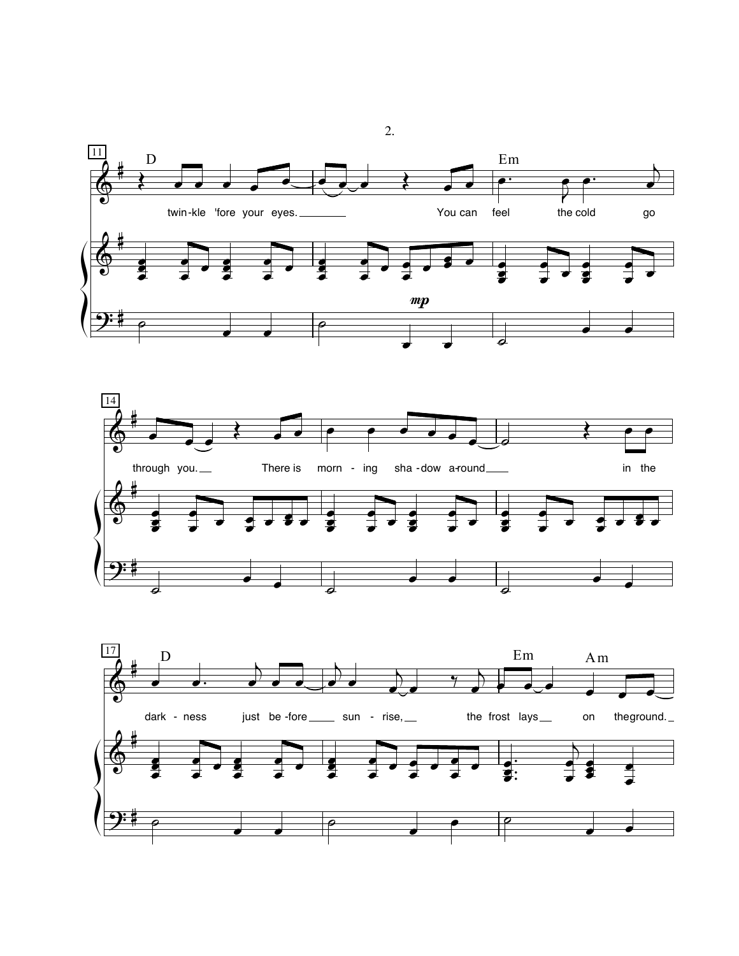





 $\overline{2}$ .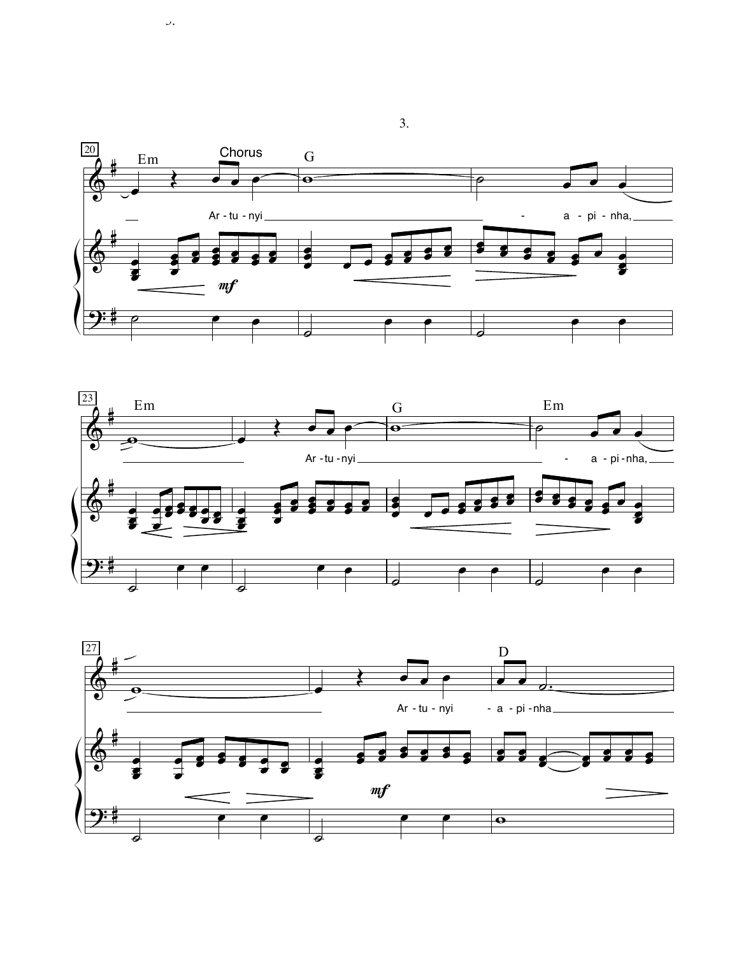

 $\cup$ .



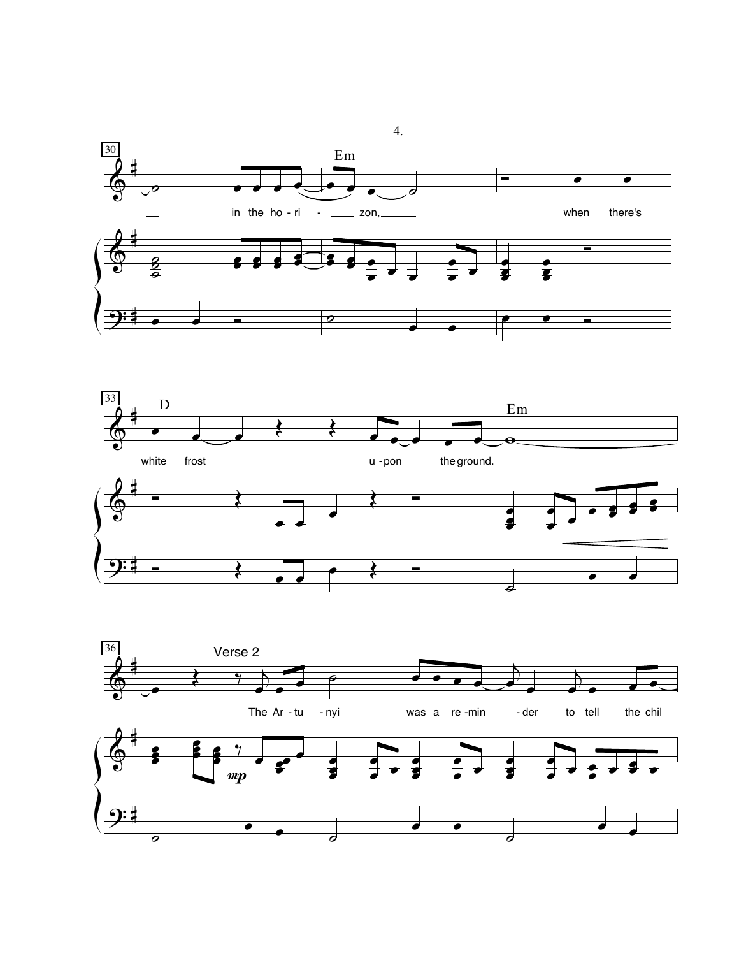





 $\overline{4}$ .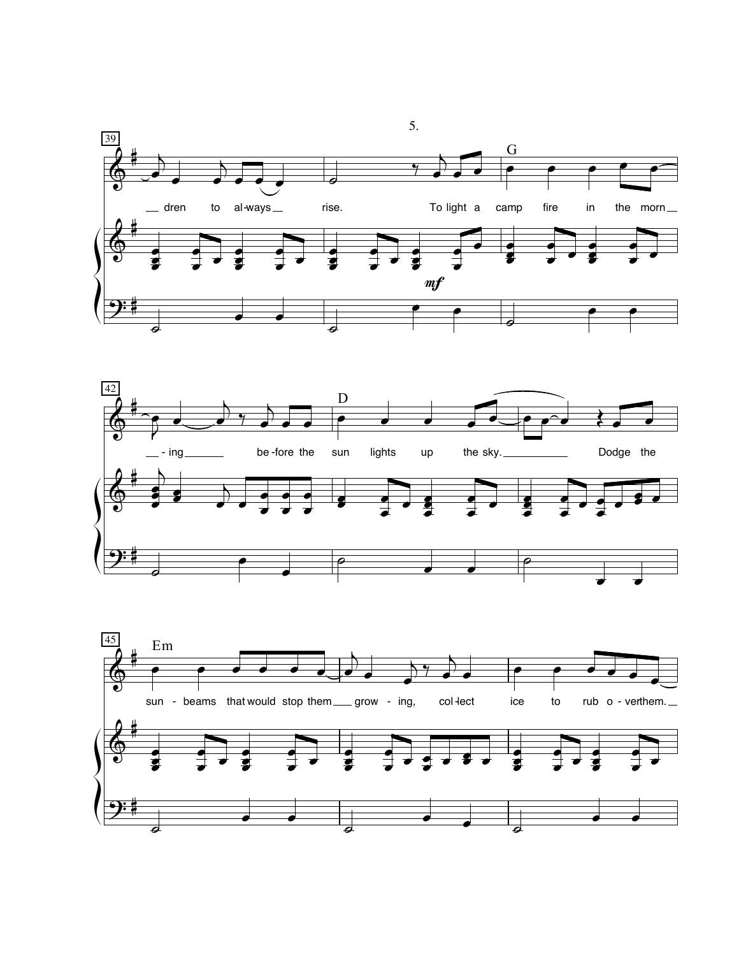



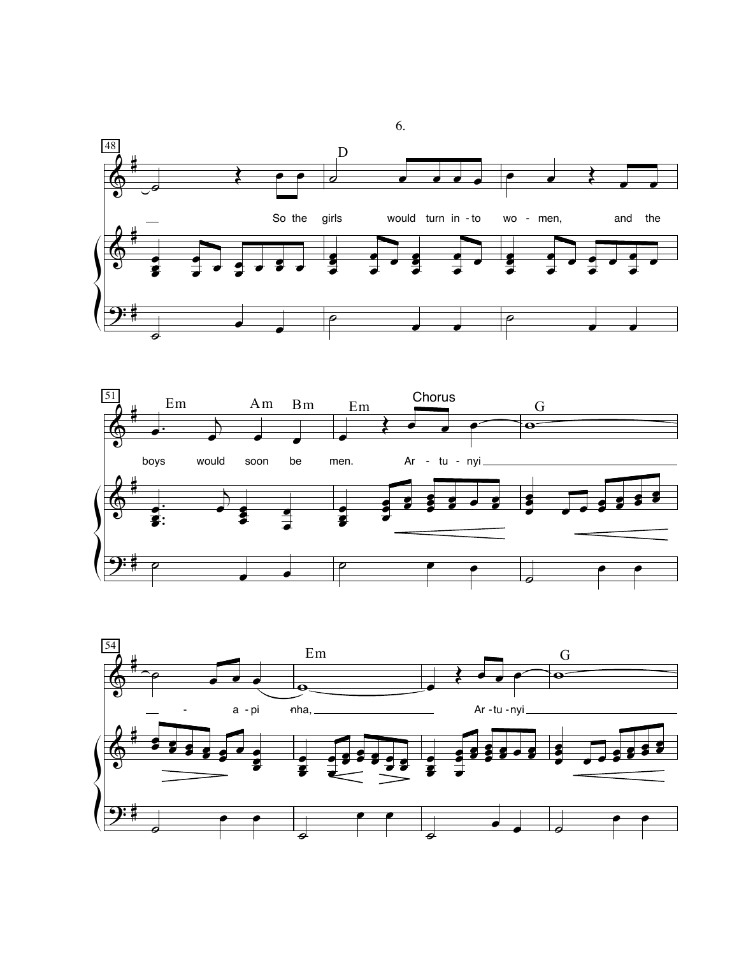



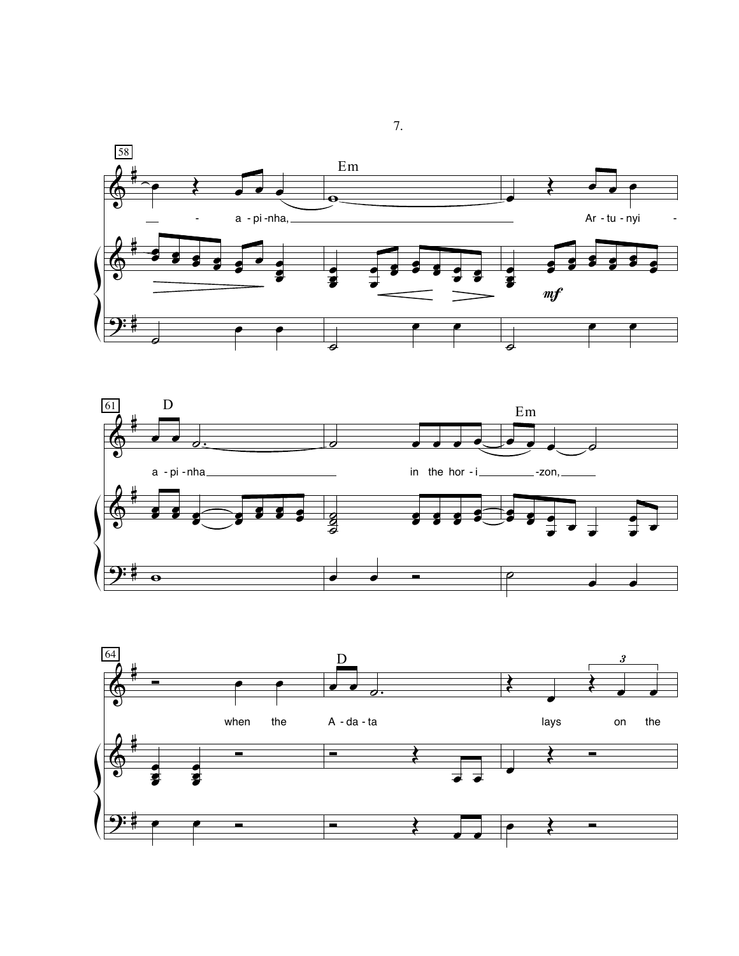



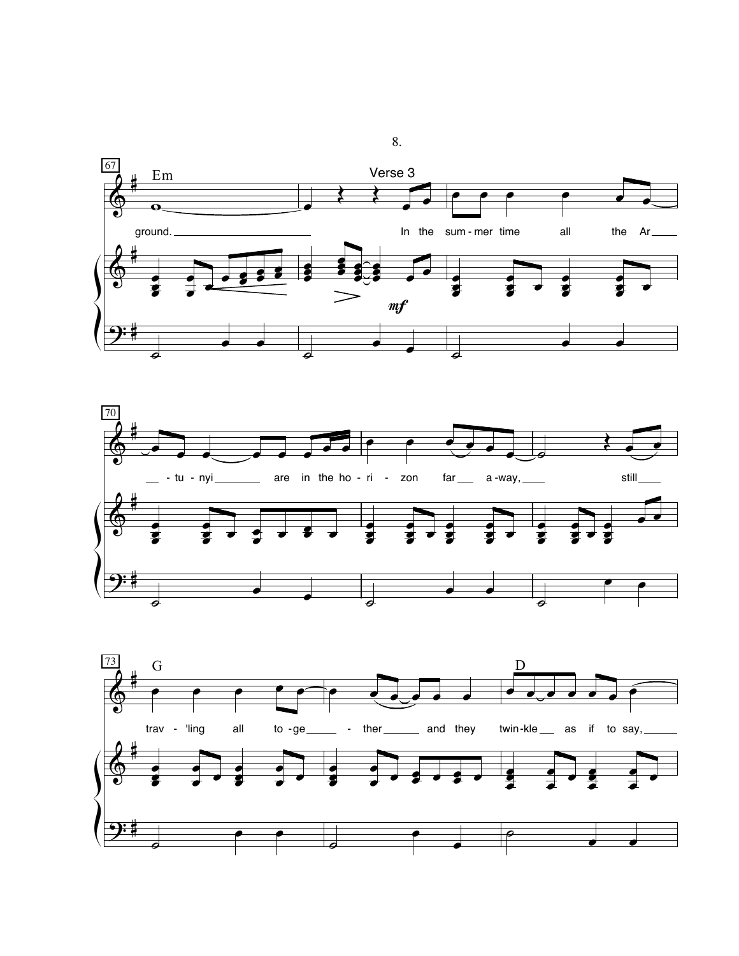



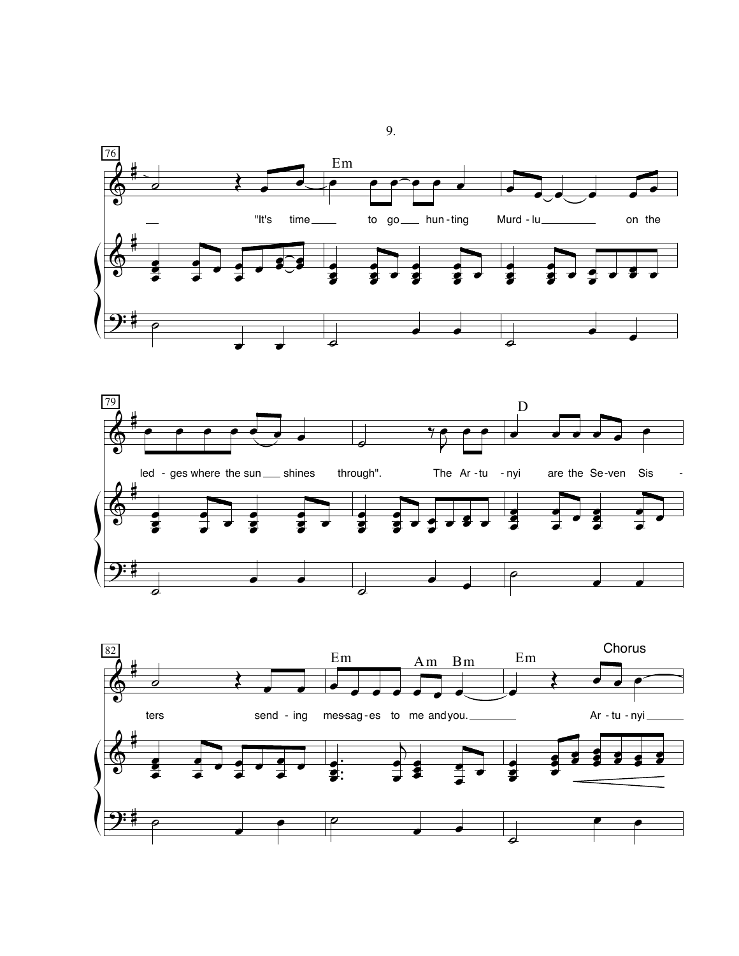



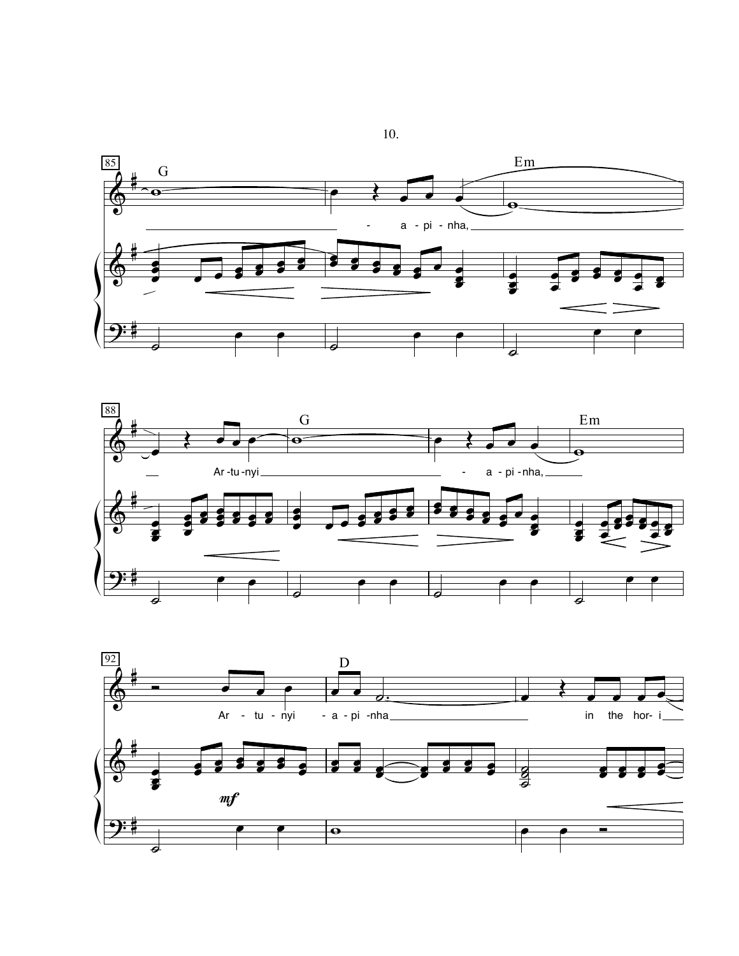